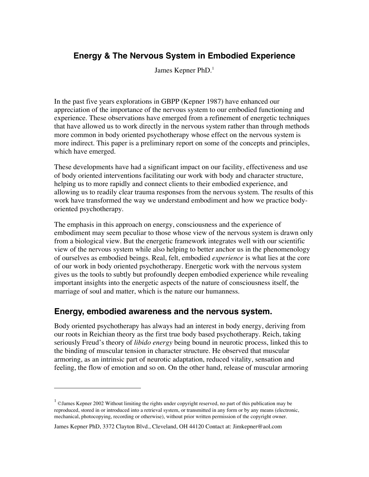## **Energy & The Nervous System in Embodied Experience**

James Kepner PhD.<sup>1</sup>

In the past five years explorations in GBPP (Kepner 1987) have enhanced our appreciation of the importance of the nervous system to our embodied functioning and experience. These observations have emerged from a refinement of energetic techniques that have allowed us to work directly in the nervous system rather than through methods more common in body oriented psychotherapy whose effect on the nervous system is more indirect. This paper is a preliminary report on some of the concepts and principles, which have emerged.

These developments have had a significant impact on our facility, effectiveness and use of body oriented interventions facilitating our work with body and character structure, helping us to more rapidly and connect clients to their embodied experience, and allowing us to readily clear trauma responses from the nervous system. The results of this work have transformed the way we understand embodiment and how we practice bodyoriented psychotherapy.

The emphasis in this approach on energy, consciousness and the experience of embodiment may seem peculiar to those whose view of the nervous system is drawn only from a biological view. But the energetic framework integrates well with our scientific view of the nervous system while also helping to better anchor us in the phenomenology of ourselves as embodied beings. Real, felt, embodied *experience* is what lies at the core of our work in body oriented psychotherapy. Energetic work with the nervous system gives us the tools to subtly but profoundly deepen embodied experience while revealing important insights into the energetic aspects of the nature of consciousness itself, the marriage of soul and matter, which is the nature our humanness.

## **Energy, embodied awareness and the nervous system.**

Body oriented psychotherapy has always had an interest in body energy, deriving from our roots in Reichian theory as the first true body based psychotherapy. Reich, taking seriously Freud's theory of *libido energy* being bound in neurotic process, linked this to the binding of muscular tension in character structure. He observed that muscular armoring, as an intrinsic part of neurotic adaptation, reduced vitality, sensation and feeling, the flow of emotion and so on. On the other hand, release of muscular armoring

 $1$  © James Kepner 2002 Without limiting the rights under copyright reserved, no part of this publication may be reproduced, stored in or introduced into a retrieval system, or transmitted in any form or by any means (electronic, mechanical, photocopying, recording or otherwise), without prior written permission of the copyright owner.

James Kepner PhD, 3372 Clayton Blvd., Cleveland, OH 44120 Contact at: Jimkepner@aol.com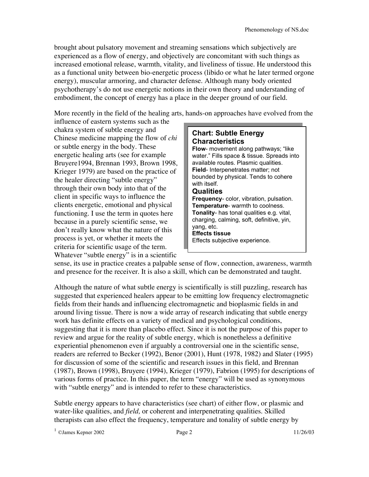brought about pulsatory movement and streaming sensations which subjectively are experienced as a flow of energy, and objectively are concomitant with such things as increased emotional release, warmth, vitality, and liveliness of tissue. He understood this as a functional unity between bio-energetic process (libido or what he later termed orgone energy), muscular armoring, and character defense. Although many body oriented psychotherapy's do not use energetic notions in their own theory and understanding of embodiment, the concept of energy has a place in the deeper ground of our field.

More recently in the field of the healing arts, hands-on approaches have evolved from the

influence of eastern systems such as the chakra system of subtle energy and Chinese medicine mapping the flow of *chi* or subtle energy in the body. These energetic healing arts (see for example Bruyere1994, Brennan 1993, Brown 1998, Krieger 1979) are based on the practice of the healer directing "subtle energy" through their own body into that of the client in specific ways to influence the clients energetic, emotional and physical functioning. I use the term in quotes here because in a purely scientific sense, we don't really know what the nature of this process is yet, or whether it meets the criteria for scientific usage of the term. Whatever "subtle energy" is in a scientific



sense, its use in practice creates a palpable sense of flow, connection, awareness, warmth and presence for the receiver. It is also a skill, which can be demonstrated and taught.

Although the nature of what subtle energy is scientifically is still puzzling, research has suggested that experienced healers appear to be emitting low frequency electromagnetic fields from their hands and influencing electromagnetic and bioplasmic fields in and around living tissue. There is now a wide array of research indicating that subtle energy work has definite effects on a variety of medical and psychological conditions, suggesting that it is more than placebo effect. Since it is not the purpose of this paper to review and argue for the reality of subtle energy, which is nonetheless a definitive experiential phenomenon even if arguably a controversial one in the scientific sense, readers are referred to Becker (1992), Benor (2001), Hunt (1978, 1982) and Slater (1995) for discussion of some of the scientific and research issues in this field, and Brennan (1987), Brown (1998), Bruyere (1994), Krieger (1979), Fabrion (1995) for descriptions of various forms of practice. In this paper, the term "energy" will be used as synonymous with "subtle energy" and is intended to refer to these characteristics.

Subtle energy appears to have characteristics (see chart) of either flow, or plasmic and water-like qualities, and *field,* or coherent and interpenetrating qualities. Skilled therapists can also effect the frequency, temperature and tonality of subtle energy by

 $1 \text{ OJames Kepler } 2002$  Page 2 11/26/03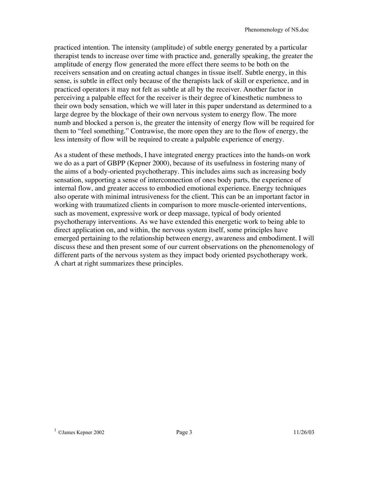practiced intention. The intensity (amplitude) of subtle energy generated by a particular therapist tends to increase over time with practice and, generally speaking, the greater the amplitude of energy flow generated the more effect there seems to be both on the receivers sensation and on creating actual changes in tissue itself. Subtle energy, in this sense, is subtle in effect only because of the therapists lack of skill or experience, and in practiced operators it may not felt as subtle at all by the receiver. Another factor in perceiving a palpable effect for the receiver is their degree of kinesthetic numbness to their own body sensation, which we will later in this paper understand as determined to a large degree by the blockage of their own nervous system to energy flow. The more numb and blocked a person is, the greater the intensity of energy flow will be required for them to "feel something." Contrawise, the more open they are to the flow of energy, the less intensity of flow will be required to create a palpable experience of energy.

As a student of these methods, I have integrated energy practices into the hands-on work we do as a part of GBPP (Kepner 2000), because of its usefulness in fostering many of the aims of a body-oriented psychotherapy. This includes aims such as increasing body sensation, supporting a sense of interconnection of ones body parts, the experience of internal flow, and greater access to embodied emotional experience. Energy techniques also operate with minimal intrusiveness for the client. This can be an important factor in working with traumatized clients in comparison to more muscle-oriented interventions, such as movement, expressive work or deep massage, typical of body oriented psychotherapy interventions. As we have extended this energetic work to being able to direct application on, and within, the nervous system itself, some principles have emerged pertaining to the relationship between energy, awareness and embodiment. I will discuss these and then present some of our current observations on the phenomenology of different parts of the nervous system as they impact body oriented psychotherapy work. A chart at right summarizes these principles.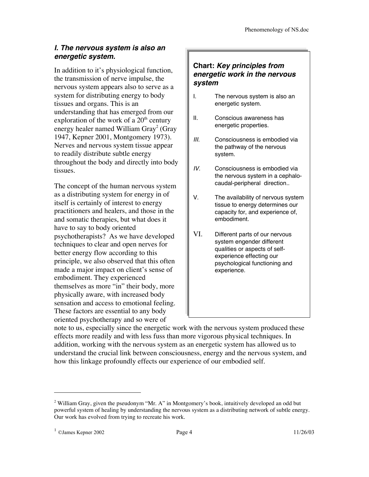## **I. The nervous system is also an energetic system.**

In addition to it's physiological function, the transmission of nerve impulse, the nervous system appears also to serve as a system for distributing energy to body tissues and organs. This is an understanding that has emerged from our exploration of the work of a  $20^{\text{th}}$  century energy healer named William Gray $^2$  (Gray 1947, Kepner 2001, Montgomery 1973). Nerves and nervous system tissue appear to readily distribute subtle energy throughout the body and directly into body tissues.

The concept of the human nervous system as a distributing system for energy in of itself is certainly of interest to energy practitioners and healers, and those in the and somatic therapies, but what does it have to say to body oriented psychotherapists? As we have developed techniques to clear and open nerves for better energy flow according to this principle, we also observed that this often made a major impact on client's sense of embodiment. They experienced themselves as more "in" their body, more physically aware, with increased body sensation and access to emotional feeling. These factors are essential to any body oriented psychotherapy and so were of

#### **Chart: Key principles from energetic work in the nervous system**

- I. The nervous system is also an energetic system.
- II. Conscious awareness has energetic properties.
- III. Consciousness is embodied via the pathway of the nervous system.
- IV. Consciousness is embodied via the nervous system in a cephalocaudal-peripheral direction..
- V. The availability of nervous system tissue to energy determines our capacity for, and experience of, embodiment.
- VI. Different parts of our nervous system engender different qualities or aspects of selfexperience effecting our psychological functioning and experience.

note to us, especially since the energetic work with the nervous system produced these effects more readily and with less fuss than more vigorous physical techniques. In addition, working with the nervous system as an energetic system has allowed us to understand the crucial link between consciousness, energy and the nervous system, and how this linkage profoundly effects our experience of our embodied self.

 $2$  William Gray, given the pseudonym "Mr. A" in Montgomery's book, intuitively developed an odd but powerful system of healing by understanding the nervous system as a distributing network of subtle energy. Our work has evolved from trying to recreate his work.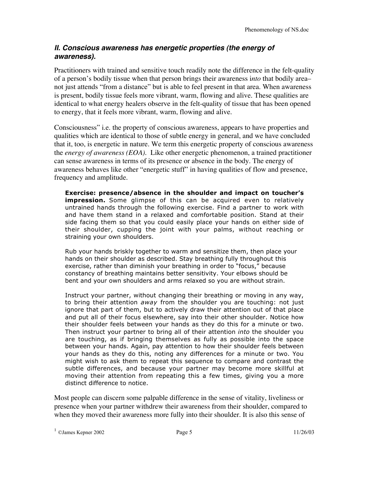## **II. Conscious awareness has energetic properties (the energy of awareness).**

Practitioners with trained and sensitive touch readily note the difference in the felt-quality of a person's bodily tissue when that person brings their awareness i*nto* that bodily area– not just attends "from a distance" but is able to feel present in that area. When awareness is present, bodily tissue feels more vibrant, warm, flowing and alive. These qualities are identical to what energy healers observe in the felt-quality of tissue that has been opened to energy, that it feels more vibrant, warm, flowing and alive.

Consciousness" i.e. the property of conscious awareness, appears to have properties and qualities which are identical to those of subtle energy in general, and we have concluded that it, too, is energetic in nature. We term this energetic property of conscious awareness the *energy of awareness (EOA).* Like other energetic phenomenon, a trained practitioner can sense awareness in terms of its presence or absence in the body. The energy of awareness behaves like other "energetic stuff" in having qualities of flow and presence, frequency and amplitude.

**Exercise: presence/absence in the shoulder and impact on toucher's impression.** Some glimpse of this can be acquired even to relatively untrained hands through the following exercise. Find a partner to work with and have them stand in a relaxed and comfortable position. Stand at their side facing them so that you could easily place your hands on either side of their shoulder, cupping the joint with your palms, without reaching or straining your own shoulders.

Rub your hands briskly together to warm and sensitize them, then place your hands on their shoulder as described. Stay breathing fully throughout this exercise, rather than diminish your breathing in order to "focus," because constancy of breathing maintains better sensitivity. Your elbows should be bent and your own shoulders and arms relaxed so you are without strain.

Instruct your partner, without changing their breathing or moving in any way, to bring their attention *away* from the shoulder you are touching: not just ignore that part of them, but to actively draw their attention out of that place and put all of their focus elsewhere, say into their other shoulder. Notice how their shoulder feels between your hands as they do this for a minute or two. Then instruct your partner to bring all of their attention *into* the shoulder you are touching, as if bringing themselves as fully as possible into the space between your hands. Again, pay attention to how their shoulder feels between your hands as they do this, noting any differences for a minute or two. You might wish to ask them to repeat this sequence to compare and contrast the subtle differences, and because your partner may become more skillful at moving their attention from repeating this a few times, giving you a more distinct difference to notice.

Most people can discern some palpable difference in the sense of vitality, liveliness or presence when your partner withdrew their awareness from their shoulder, compared to when they moved their awareness more fully into their shoulder. It is also this sense of

 $1 \text{ OJames Kepler } 2002$  Page 5 11/26/03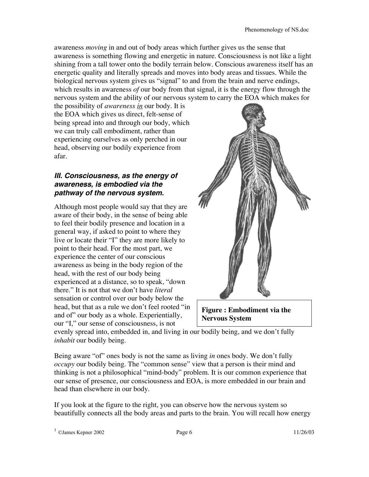awareness *moving* in and out of body areas which further gives us the sense that awareness is something flowing and energetic in nature. Consciousness is not like a light shining from a tall tower onto the bodily terrain below. Conscious awareness itself has an energetic quality and literally spreads and moves into body areas and tissues. While the biological nervous system gives us "signal" to and from the brain and nerve endings, which results in awareness *of* our body from that signal, it is the energy flow through the nervous system and the ability of our nervous system to carry the EOA which makes for

the possibility of *awareness in* our body. It is the EOA which gives us direct, felt-sense of being spread into and through our body, which we can truly call embodiment, rather than experiencing ourselves as only perched in our head, observing our bodily experience from afar.

#### **III. Consciousness, as the energy of awareness, is embodied via the pathway of the nervous system.**

Although most people would say that they are aware of their body, in the sense of being able to feel their bodily presence and location in a general way, if asked to point to where they live or locate their "I" they are more likely to point to their head. For the most part, we experience the center of our conscious awareness as being in the body region of the head, with the rest of our body being experienced at a distance, so to speak, "down there." It is not that we don't have *literal* sensation or control over our body below the head, but that as a rule we don't feel rooted "in and of" our body as a whole. Experientially, our "I," our sense of consciousness, is not



**Figure : Embodiment via the Nervous System**

evenly spread into, embedded in, and living in our bodily being, and we don't fully *inhabit* our bodily being.

Being aware "of" ones body is not the same as living *in* ones body. We don't fully *occupy* our bodily being. The "common sense" view that a person is their mind and thinking is not a philosophical "mind-body" problem. It is our common experience that our sense of presence, our consciousness and EOA, is more embedded in our brain and head than elsewhere in our body.

If you look at the figure to the right, you can observe how the nervous system so beautifully connects all the body areas and parts to the brain. You will recall how energy

 $1 \text{ OJames Kepler } 2002$  Page 6 11/26/03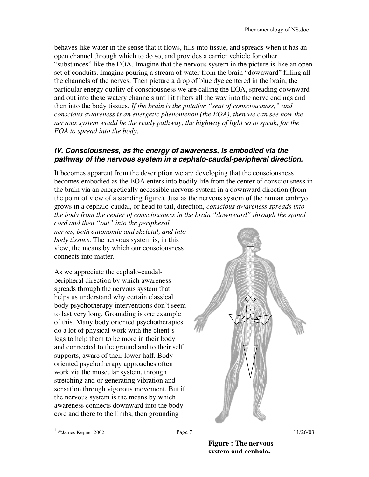behaves like water in the sense that it flows, fills into tissue, and spreads when it has an open channel through which to do so, and provides a carrier vehicle for other "substances" like the EOA. Imagine that the nervous system in the picture is like an open set of conduits. Imagine pouring a stream of water from the brain "downward" filling all the channels of the nerves. Then picture a drop of blue dye centered in the brain, the particular energy quality of consciousness we are calling the EOA, spreading downward and out into these watery channels until it filters all the way into the nerve endings and then into the body tissues. *If the brain is the putative "seat of consciousness," and conscious awareness is an energetic phenomenon (the EOA), then we can see how the nervous system would be the ready pathway, the highway of light so to speak, for the EOA to spread into the body.*

#### **IV. Consciousness, as the energy of awareness, is embodied via the pathway of the nervous system in <sup>a</sup> cephalo-caudal-peripheral direction.**

It becomes apparent from the description we are developing that the consciousness becomes embodied as the EOA enters into bodily life from the center of consciousness in the brain via an energetically accessible nervous system in a downward direction (from the point of view of a standing figure). Just as the nervous system of the human embryo grows in a cephalo-caudal, or head to tail, direction, *conscious awareness spreads into the body from the center of consciousness in the brain "downward" through the spinal*

*cord and then "out" into the peripheral nerves, both autonomic and skeletal, and into body tissues.* The nervous system is, in this view, the means by which our consciousness connects into matter.

As we appreciate the cephalo-caudalperipheral direction by which awareness spreads through the nervous system that helps us understand why certain classical body psychotherapy interventions don't seem to last very long. Grounding is one example of this. Many body oriented psychotherapies do a lot of physical work with the client's legs to help them to be more in their body and connected to the ground and to their self supports, aware of their lower half. Body oriented psychotherapy approaches often work via the muscular system, through stretching and or generating vibration and sensation through vigorous movement. But if the nervous system is the means by which awareness connects downward into the body core and there to the limbs, then grounding



 $1 \text{ OJames Kepler } 2002$  Page 7 2002

**Figure : The nervous system and cephalo-**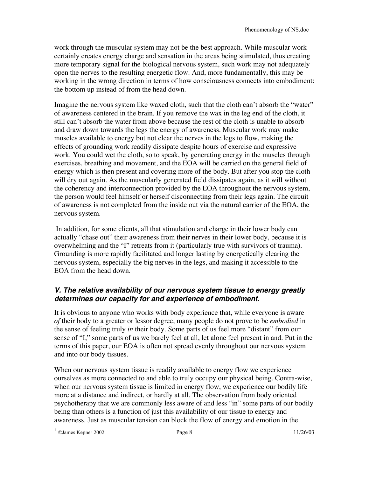work through the muscular system may not be the best approach. While muscular work certainly creates energy charge and sensation in the areas being stimulated, thus creating more temporary signal for the biological nervous system, such work may not adequately open the nerves to the resulting energetic flow. And, more fundamentally, this may be working in the wrong direction in terms of how consciousness connects into embodiment: the bottom up instead of from the head down.

Imagine the nervous system like waxed cloth, such that the cloth can't absorb the "water" of awareness centered in the brain. If you remove the wax in the leg end of the cloth, it still can't absorb the water from above because the rest of the cloth is unable to absorb and draw down towards the legs the energy of awareness. Muscular work may make muscles available to energy but not clear the nerves in the legs to flow, making the effects of grounding work readily dissipate despite hours of exercise and expressive work. You could wet the cloth, so to speak, by generating energy in the muscles through exercises, breathing and movement, and the EOA will be carried on the general field of energy which is then present and covering more of the body. But after you stop the cloth will dry out again. As the muscularly generated field dissipates again, as it will without the coherency and interconnection provided by the EOA throughout the nervous system, the person would feel himself or herself disconnecting from their legs again. The circuit of awareness is not completed from the inside out via the natural carrier of the EOA, the nervous system.

 In addition, for some clients, all that stimulation and charge in their lower body can actually "chase out" their awareness from their nerves in their lower body, because it is overwhelming and the "I" retreats from it (particularly true with survivors of trauma). Grounding is more rapidly facilitated and longer lasting by energetically clearing the nervous system, especially the big nerves in the legs, and making it accessible to the EOA from the head down.

## **V. The relative availability of our nervous system tissue to energy greatly determines our capacity for and experience of embodiment.**

It is obvious to anyone who works with body experience that, while everyone is aware *of* their body to a greater or lessor degree, many people do not prove to be *embodied* in the sense of feeling truly *in* their body. Some parts of us feel more "distant" from our sense of "I," some parts of us we barely feel at all, let alone feel present in and. Put in the terms of this paper, our EOA is often not spread evenly throughout our nervous system and into our body tissues.

When our nervous system tissue is readily available to energy flow we experience ourselves as more connected to and able to truly occupy our physical being. Contra-wise, when our nervous system tissue is limited in energy flow, we experience our bodily life more at a distance and indirect, or hardly at all. The observation from body oriented psychotherapy that we are commonly less aware of and less "in" some parts of our bodily being than others is a function of just this availability of our tissue to energy and awareness. Just as muscular tension can block the flow of energy and emotion in the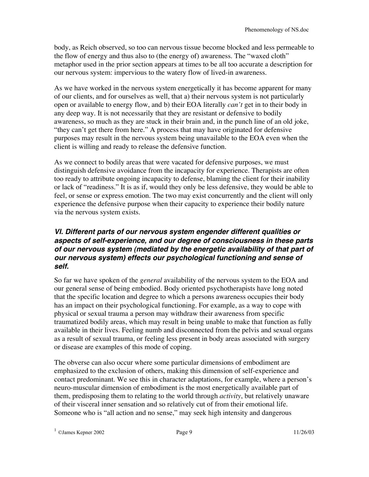body, as Reich observed, so too can nervous tissue become blocked and less permeable to the flow of energy and thus also to (the energy of) awareness. The "waxed cloth" metaphor used in the prior section appears at times to be all too accurate a description for our nervous system: impervious to the watery flow of lived-in awareness.

As we have worked in the nervous system energetically it has become apparent for many of our clients, and for ourselves as well, that a) their nervous system is not particularly open or available to energy flow, and b) their EOA literally *can't* get in to their body in any deep way. It is not necessarily that they are resistant or defensive to bodily awareness, so much as they are stuck in their brain and, in the punch line of an old joke, "they can't get there from here." A process that may have originated for defensive purposes may result in the nervous system being unavailable to the EOA even when the client is willing and ready to release the defensive function.

As we connect to bodily areas that were vacated for defensive purposes, we must distinguish defensive avoidance from the incapacity for experience. Therapists are often too ready to attribute ongoing incapacity to defense, blaming the client for their inability or lack of "readiness." It is as if, would they only be less defensive, they would be able to feel, or sense or express emotion. The two may exist concurrently and the client will only experience the defensive purpose when their capacity to experience their bodily nature via the nervous system exists.

#### **VI. Different parts of our nervous system engender different qualities or aspects of self-experience, and our degree of consciousness in these parts of our nervous system (mediated by the energetic availability of that part of our nervous system) effects our psychological functioning and sense of self.**

So far we have spoken of the *general* availability of the nervous system to the EOA and our general sense of being embodied. Body oriented psychotherapists have long noted that the specific location and degree to which a persons awareness occupies their body has an impact on their psychological functioning. For example, as a way to cope with physical or sexual trauma a person may withdraw their awareness from specific traumatized bodily areas, which may result in being unable to make that function as fully available in their lives. Feeling numb and disconnected from the pelvis and sexual organs as a result of sexual trauma, or feeling less present in body areas associated with surgery or disease are examples of this mode of coping.

The obverse can also occur where some particular dimensions of embodiment are emphasized to the exclusion of others, making this dimension of self-experience and contact predominant. We see this in character adaptations, for example, where a person's neuro-muscular dimension of embodiment is the most energetically available part of them, predisposing them to relating to the world through *activity*, but relatively unaware of their visceral inner sensation and so relatively cut of from their emotional life. Someone who is "all action and no sense," may seek high intensity and dangerous

 $1 \text{ OJames}$  Kepner 2002 Page 9 11/26/03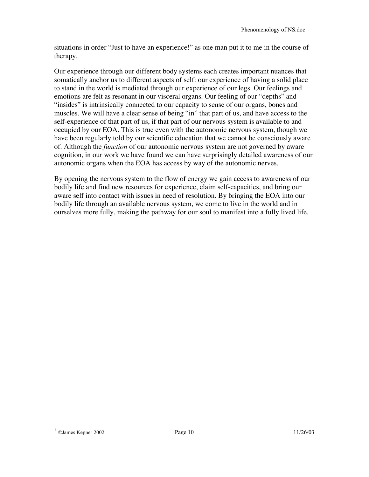situations in order "Just to have an experience!" as one man put it to me in the course of therapy.

Our experience through our different body systems each creates important nuances that somatically anchor us to different aspects of self: our experience of having a solid place to stand in the world is mediated through our experience of our legs. Our feelings and emotions are felt as resonant in our visceral organs. Our feeling of our "depths" and "insides" is intrinsically connected to our capacity to sense of our organs, bones and muscles. We will have a clear sense of being "in" that part of us, and have access to the self-experience of that part of us, if that part of our nervous system is available to and occupied by our EOA. This is true even with the autonomic nervous system, though we have been regularly told by our scientific education that we cannot be consciously aware of. Although the *function* of our autonomic nervous system are not governed by aware cognition, in our work we have found we can have surprisingly detailed awareness of our autonomic organs when the EOA has access by way of the autonomic nerves.

By opening the nervous system to the flow of energy we gain access to awareness of our bodily life and find new resources for experience, claim self-capacities, and bring our aware self into contact with issues in need of resolution. By bringing the EOA into our bodily life through an available nervous system, we come to live in the world and in ourselves more fully, making the pathway for our soul to manifest into a fully lived life.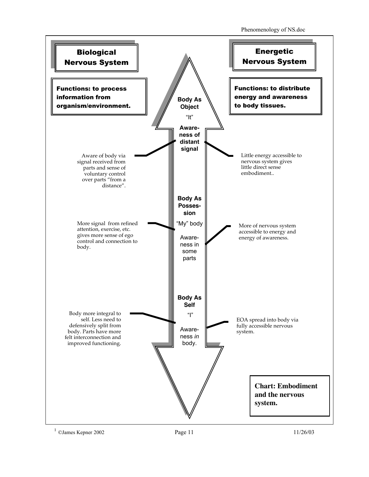Phenomenology of NS.doc



 $1 \text{ OJames Kepler } 2002$  Page 11 11/26/03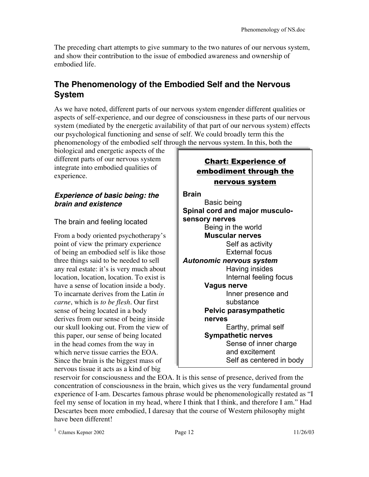The preceding chart attempts to give summary to the two natures of our nervous system, and show their contribution to the issue of embodied awareness and ownership of embodied life.

# **The Phenomenology of the Embodied Self and the Nervous System**

As we have noted, different parts of our nervous system engender different qualities or aspects of self-experience, and our degree of consciousness in these parts of our nervous system (mediated by the energetic availability of that part of our nervous system) effects our psychological functioning and sense of self. We could broadly term this the phenomenology of the embodied self through the nervous system. In this, both the

biological and energetic aspects of the different parts of our nervous system integrate into embodied qualities of experience.

## **Experience of basic being: the brain and existence**

The brain and feeling located

From a body oriented psychotherapy's point of view the primary experience of being an embodied self is like those three things said to be needed to sell any real estate: it's is very much about location, location, location. To exist is have a sense of location inside a body. To incarnate derives from the Latin *in carne*, which is *to be flesh.* Our first sense of being located in a body derives from our sense of being inside our skull looking out. From the view of this paper, our sense of being located in the head comes from the way in which nerve tissue carries the EOA. Since the brain is the biggest mass of nervous tissue it acts as a kind of big

## Chart: Experience of embodiment through the nervous system

**Brain** Basic being **Spinal cord and major musculosensory nerves** Being in the world **Muscular nerves** Self as activity External focus *Autonomic nervous system* Having insides Internal feeling focus **Vagus nerve** Inner presence and substance **Pelvic parasympathetic nerves** Earthy, primal self **Sympathetic nerves** Sense of inner charge and excitement Self as centered in body

core reservoir for consciousness and the EOA. It is this sense of presence, derived from the concentration of consciousness in the brain, which gives us the very fundamental ground experience of I-am. Descartes famous phrase would be phenomenologically restated as "I feel my sense of location in my head, where I think that I think, and therefore I am." Had Descartes been more embodied, I daresay that the course of Western philosophy might have been different!

 $1 \text{ OJames Kepler } 2002$  Page 12 11/26/03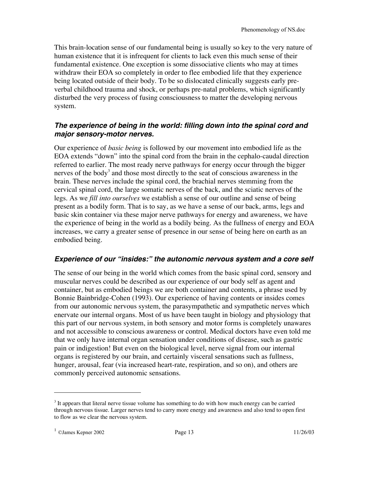This brain-location sense of our fundamental being is usually so key to the very nature of human existence that it is infrequent for clients to lack even this much sense of their fundamental existence. One exception is some dissociative clients who may at times withdraw their EOA so completely in order to flee embodied life that they experience being located outside of their body. To be so dislocated clinically suggests early preverbal childhood trauma and shock, or perhaps pre-natal problems, which significantly disturbed the very process of fusing consciousness to matter the developing nervous system.

#### **The experience of being in the world: filling down into the spinal cord and major sensory-motor nerves.**

Our experience of *basic being* is followed by our movement into embodied life as the EOA extends "down" into the spinal cord from the brain in the cephalo-caudal direction referred to earlier. The most ready nerve pathways for energy occur through the bigger nerves of the body<sup>3</sup> and those most directly to the seat of conscious awareness in the brain. These nerves include the spinal cord, the brachial nerves stemming from the cervical spinal cord, the large somatic nerves of the back, and the sciatic nerves of the legs. As we *fill into ourselves* we establish a sense of our outline and sense of being present as a bodily form. That is to say, as we have a sense of our back, arms, legs and basic skin container via these major nerve pathways for energy and awareness, we have the experience of being in the world as a bodily being. As the fullness of energy and EOA increases, we carry a greater sense of presence in our sense of being here on earth as an embodied being.

#### **Experience of our "insides:" the autonomic nervous system and <sup>a</sup> core self**

The sense of our being in the world which comes from the basic spinal cord, sensory and muscular nerves could be described as our experience of our body self as agent and container, but as embodied beings we are both container and contents, a phrase used by Bonnie Bainbridge-Cohen (1993). Our experience of having contents or insides comes from our autonomic nervous system, the parasympathetic and sympathetic nerves which enervate our internal organs. Most of us have been taught in biology and physiology that this part of our nervous system, in both sensory and motor forms is completely unawares and not accessible to conscious awareness or control. Medical doctors have even told me that we only have internal organ sensation under conditions of disease, such as gastric pain or indigestion! But even on the biological level, nerve signal from our internal organs is registered by our brain, and certainly visceral sensations such as fullness, hunger, arousal, fear (via increased heart-rate, respiration, and so on), and others are commonly perceived autonomic sensations.

<sup>&</sup>lt;sup>3</sup> It appears that literal nerve tissue volume has something to do with how much energy can be carried through nervous tissue. Larger nerves tend to carry more energy and awareness and also tend to open first to flow as we clear the nervous system.

 $1 \text{ OJames Kepler } 2002$  Page 13 11/26/03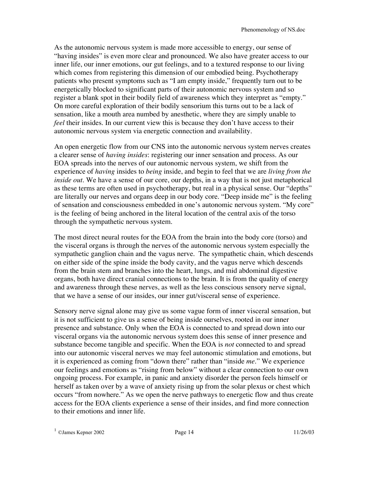As the autonomic nervous system is made more accessible to energy, our sense of "having insides" is even more clear and pronounced. We also have greater access to our inner life, our inner emotions, our gut feelings, and to a textured response to our living which comes from registering this dimension of our embodied being. Psychotherapy patients who present symptoms such as "I am empty inside," frequently turn out to be energetically blocked to significant parts of their autonomic nervous system and so register a blank spot in their bodily field of awareness which they interpret as "empty." On more careful exploration of their bodily sensorium this turns out to be a lack of sensation, like a mouth area numbed by anesthetic, where they are simply unable to *feel* their insides. In our current view this is because they don't have access to their autonomic nervous system via energetic connection and availability.

An open energetic flow from our CNS into the autonomic nervous system nerves creates a clearer sense of *having insides*: registering our inner sensation and process. As our EOA spreads into the nerves of our autonomic nervous system, we shift from the experience of *having* insides to *being* inside, and begin to feel that we are *living from the inside out.* We have a sense of our core, our depths, in a way that is not just metaphorical as these terms are often used in psychotherapy, but real in a physical sense. Our "depths" are literally our nerves and organs deep in our body core. "Deep inside me" is the feeling of sensation and consciousness embedded in one's autonomic nervous system. "My core" is the feeling of being anchored in the literal location of the central axis of the torso through the sympathetic nervous system.

The most direct neural routes for the EOA from the brain into the body core (torso) and the visceral organs is through the nerves of the autonomic nervous system especially the sympathetic ganglion chain and the vagus nerve. The sympathetic chain, which descends on either side of the spine inside the body cavity, and the vagus nerve which descends from the brain stem and branches into the heart, lungs, and mid abdominal digestive organs, both have direct cranial connections to the brain. It is from the quality of energy and awareness through these nerves, as well as the less conscious sensory nerve signal, that we have a sense of our insides, our inner gut/visceral sense of experience.

Sensory nerve signal alone may give us some vague form of inner visceral sensation, but it is not sufficient to give us a sense of being inside ourselves, rooted in our inner presence and substance. Only when the EOA is connected to and spread down into our visceral organs via the autonomic nervous system does this sense of inner presence and substance become tangible and specific. When the EOA is *not* connected to and spread into our autonomic visceral nerves we may feel autonomic stimulation and emotions, but it is experienced as coming from "down there" rather than "inside *me.*" We experience our feelings and emotions as "rising from below" without a clear connection to our own ongoing process. For example, in panic and anxiety disorder the person feels himself or herself as taken over by a wave of anxiety rising up from the solar plexus or chest which occurs "from nowhere." As we open the nerve pathways to energetic flow and thus create access for the EOA clients experience a sense of their insides, and find more connection to their emotions and inner life.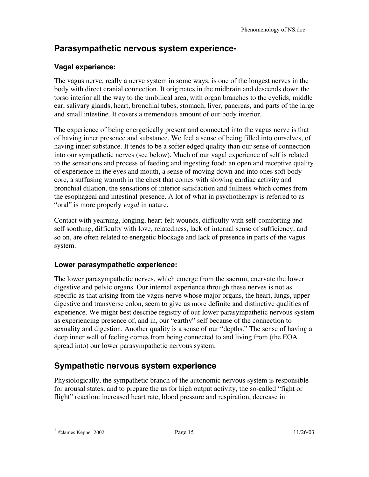# **Parasympathetic nervous system experience-**

## **Vagal experience:**

The vagus nerve, really a nerve system in some ways, is one of the longest nerves in the body with direct cranial connection. It originates in the midbrain and descends down the torso interior all the way to the umbilical area, with organ branches to the eyelids, middle ear, salivary glands, heart, bronchial tubes, stomach, liver, pancreas, and parts of the large and small intestine. It covers a tremendous amount of our body interior.

The experience of being energetically present and connected into the vagus nerve is that of having inner presence and substance. We feel a sense of being filled into ourselves, of having inner substance. It tends to be a softer edged quality than our sense of connection into our sympathetic nerves (see below). Much of our vagal experience of self is related to the sensations and process of feeding and ingesting food: an open and receptive quality of experience in the eyes and mouth, a sense of moving down and into ones soft body core, a suffusing warmth in the chest that comes with slowing cardiac activity and bronchial dilation, the sensations of interior satisfaction and fullness which comes from the esophageal and intestinal presence. A lot of what in psychotherapy is referred to as "oral" is more properly *vagal* in nature.

Contact with yearning, longing, heart-felt wounds, difficulty with self-comforting and self soothing, difficulty with love, relatedness, lack of internal sense of sufficiency, and so on, are often related to energetic blockage and lack of presence in parts of the vagus system.

## **Lower parasympathetic experience:**

The lower parasympathetic nerves, which emerge from the sacrum, enervate the lower digestive and pelvic organs. Our internal experience through these nerves is not as specific as that arising from the vagus nerve whose major organs, the heart, lungs, upper digestive and transverse colon, seem to give us more definite and distinctive qualities of experience. We might best describe registry of our lower parasympathetic nervous system as experiencing presence of, and in, our "earthy" self because of the connection to sexuality and digestion. Another quality is a sense of our "depths." The sense of having a deep inner well of feeling comes from being connected to and living from (the EOA spread into) our lower parasympathetic nervous system.

# **Sympathetic nervous system experience**

Physiologically, the sympathetic branch of the autonomic nervous system is responsible for arousal states, and to prepare the us for high output activity, the so-called "fight or flight" reaction: increased heart rate, blood pressure and respiration, decrease in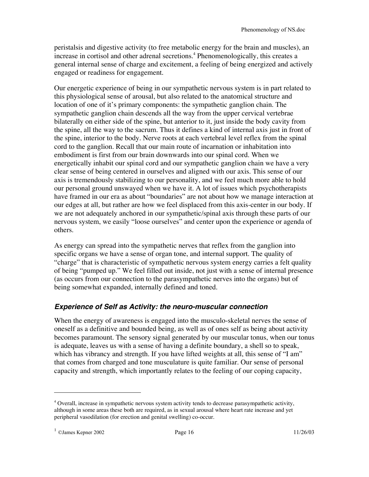peristalsis and digestive activity (to free metabolic energy for the brain and muscles), an increase in cortisol and other adrenal secretions. 4 Phenomenologically, this creates a general internal sense of charge and excitement, a feeling of being energized and actively engaged or readiness for engagement.

Our energetic experience of being in our sympathetic nervous system is in part related to this physiological sense of arousal, but also related to the anatomical structure and location of one of it's primary components: the sympathetic ganglion chain. The sympathetic ganglion chain descends all the way from the upper cervical vertebrae bilaterally on either side of the spine, but anterior to it, just inside the body cavity from the spine, all the way to the sacrum. Thus it defines a kind of internal axis just in front of the spine, interior to the body. Nerve roots at each vertebral level reflex from the spinal cord to the ganglion. Recall that our main route of incarnation or inhabitation into embodiment is first from our brain downwards into our spinal cord. When we energetically inhabit our spinal cord and our sympathetic ganglion chain we have a very clear sense of being centered in ourselves and aligned with our axis. This sense of our axis is tremendously stabilizing to our personality, and we feel much more able to hold our personal ground unswayed when we have it. A lot of issues which psychotherapists have framed in our era as about "boundaries" are not about how we manage interaction at our edges at all, but rather are how we feel displaced from this axis-center in our body. If we are not adequately anchored in our sympathetic/spinal axis through these parts of our nervous system, we easily "loose ourselves" and center upon the experience or agenda of others.

As energy can spread into the sympathetic nerves that reflex from the ganglion into specific organs we have a sense of organ tone, and internal support. The quality of "charge" that is characteristic of sympathetic nervous system energy carries a felt quality of being "pumped up." We feel filled out inside, not just with a sense of internal presence (as occurs from our connection to the parasympathetic nerves into the organs) but of being somewhat expanded, internally defined and toned.

## **Experience of Self as Activity: the neuro-muscular connection**

When the energy of awareness is engaged into the musculo-skeletal nerves the sense of oneself as a definitive and bounded being, as well as of ones self as being about activity becomes paramount. The sensory signal generated by our muscular tonus, when our tonus is adequate, leaves us with a sense of having a definite boundary, a shell so to speak, which has vibrancy and strength. If you have lifted weights at all, this sense of "I am" that comes from charged and tone musculature is quite familiar. Our sense of personal capacity and strength, which importantly relates to the feeling of our coping capacity,

<sup>&</sup>lt;sup>4</sup> Overall, increase in sympathetic nervous system activity tends to decrease parasympathetic activity, although in some areas these both are required, as in sexual arousal where heart rate increase and yet peripheral vasodilation (for erection and genital swelling) co-occur.

 $1 \text{ OJames Kepler } 2002$  Page 16 11/26/03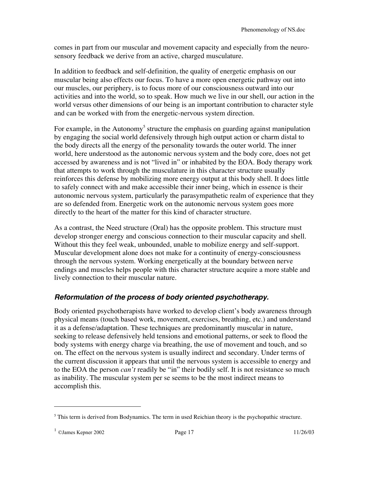comes in part from our muscular and movement capacity and especially from the neurosensory feedback we derive from an active, charged musculature.

In addition to feedback and self-definition, the quality of energetic emphasis on our muscular being also effects our focus. To have a more open energetic pathway out into our muscles, our periphery, is to focus more of our consciousness outward into our activities and into the world, so to speak. How much we live in our shell, our action in the world versus other dimensions of our being is an important contribution to character style and can be worked with from the energetic-nervous system direction.

For example, in the Autonomy<sup>5</sup> structure the emphasis on guarding against manipulation by engaging the social world defensively through high output action or charm distal to the body directs all the energy of the personality towards the outer world. The inner world, here understood as the autonomic nervous system and the body core, does not get accessed by awareness and is not "lived in" or inhabited by the EOA. Body therapy work that attempts to work through the musculature in this character structure usually reinforces this defense by mobilizing more energy output at this body shell. It does little to safely connect with and make accessible their inner being, which in essence is their autonomic nervous system, particularly the parasympathetic realm of experience that they are so defended from. Energetic work on the autonomic nervous system goes more directly to the heart of the matter for this kind of character structure.

As a contrast, the Need structure (Oral) has the opposite problem. This structure must develop stronger energy and conscious connection to their muscular capacity and shell. Without this they feel weak, unbounded, unable to mobilize energy and self-support. Muscular development alone does not make for a continuity of energy-consciousness through the nervous system. Working energetically at the boundary between nerve endings and muscles helps people with this character structure acquire a more stable and lively connection to their muscular nature.

## **Reformulation of the process of body oriented psychotherapy.**

Body oriented psychotherapists have worked to develop client's body awareness through physical means (touch based work, movement, exercises, breathing, etc.) and understand it as a defense/adaptation. These techniques are predominantly muscular in nature, seeking to release defensively held tensions and emotional patterns, or seek to flood the body systems with energy charge via breathing, the use of movement and touch, and so on. The effect on the nervous system is usually indirect and secondary. Under terms of the current discussion it appears that until the nervous system is accessible to energy and to the EOA the person *can't* readily be "in" their bodily self. It is not resistance so much as inability. The muscular system per se seems to be the most indirect means to accomplish this.

<sup>&</sup>lt;sup>5</sup> This term is derived from Bodynamics. The term in used Reichian theory is the psychopathic structure.

 $1 \text{ OJames Kepler } 2002$  Page 17 11/26/03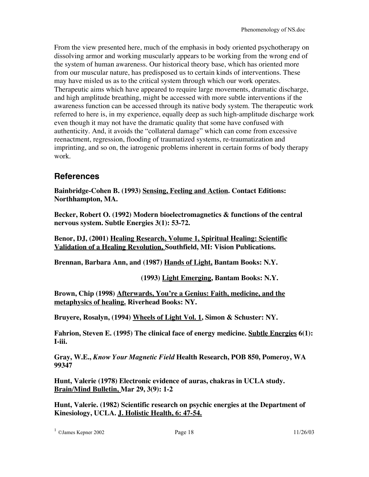From the view presented here, much of the emphasis in body oriented psychotherapy on dissolving armor and working muscularly appears to be working from the wrong end of the system of human awareness. Our historical theory base, which has oriented more from our muscular nature, has predisposed us to certain kinds of interventions. These may have misled us as to the critical system through which our work operates. Therapeutic aims which have appeared to require large movements, dramatic discharge, and high amplitude breathing, might be accessed with more subtle interventions if the awareness function can be accessed through its native body system. The therapeutic work referred to here is, in my experience, equally deep as such high-amplitude discharge work even though it may not have the dramatic quality that some have confused with authenticity. And, it avoids the "collateral damage" which can come from excessive reenactment, regression, flooding of traumatized systems, re-traumatization and imprinting, and so on, the iatrogenic problems inherent in certain forms of body therapy work.

## **References**

**Bainbridge-Cohen B. (1993) Sensing, Feeling and Action. Contact Editions: Northhampton, MA.**

**Becker, Robert O. (1992) Modern bioelectromagnetics & functions of the central nervous system. Subtle Energies 3(1): 53-72.**

**Benor, DJ, (2001) Healing Research, Volume 1, Spiritual Healing: Scientific Validation of a Healing Revolution, Southfield, MI: Vision Publications.**

**Brennan, Barbara Ann, and (1987) Hands of Light, Bantam Books: N.Y.**

**(1993) Light Emerging, Bantam Books: N.Y.**

**Brown, Chip (1998) Afterwards, You're a Genius: Faith, medicine, and the metaphysics of healing. Riverhead Books: NY.**

**Bruyere, Rosalyn, (1994) Wheels of Light Vol. 1, Simon & Schuster: NY.**

**Fahrion, Steven E. (1995) The clinical face of energy medicine. Subtle Energies 6(1): I-iii.**

**Gray, W.E.,** *Know Your Magnetic Field* **Health Research, POB 850, Pomeroy, WA 99347**

**Hunt, Valerie (1978) Electronic evidence of auras, chakras in UCLA study. Brain/Mind Bulletin, Mar 29, 3(9): 1-2**

**Hunt, Valerie. (1982) Scientific research on psychic energies at the Department of Kinesiology, UCLA. J. Holistic Health, 6: 47-54.**